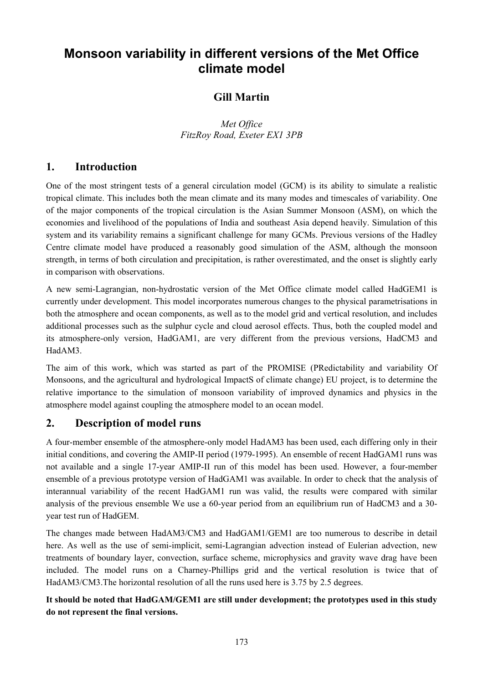# **Monsoon variability in different versions of the Met Office climate model**

## **Gill Martin**

*Met Office FitzRoy Road, Exeter EX1 3PB* 

### **1. Introduction**

One of the most stringent tests of a general circulation model (GCM) is its ability to simulate a realistic tropical climate. This includes both the mean climate and its many modes and timescales of variability. One of the major components of the tropical circulation is the Asian Summer Monsoon (ASM), on which the economies and livelihood of the populations of India and southeast Asia depend heavily. Simulation of this system and its variability remains a significant challenge for many GCMs. Previous versions of the Hadley Centre climate model have produced a reasonably good simulation of the ASM, although the monsoon strength, in terms of both circulation and precipitation, is rather overestimated, and the onset is slightly early in comparison with observations.

A new semi-Lagrangian, non-hydrostatic version of the Met Office climate model called HadGEM1 is currently under development. This model incorporates numerous changes to the physical parametrisations in both the atmosphere and ocean components, as well as to the model grid and vertical resolution, and includes additional processes such as the sulphur cycle and cloud aerosol effects. Thus, both the coupled model and its atmosphere-only version, HadGAM1, are very different from the previous versions, HadCM3 and HadAM3.

The aim of this work, which was started as part of the PROMISE (PRedictability and variability Of Monsoons, and the agricultural and hydrological ImpactS of climate change) EU project, is to determine the relative importance to the simulation of monsoon variability of improved dynamics and physics in the atmosphere model against coupling the atmosphere model to an ocean model.

### **2. Description of model runs**

A four-member ensemble of the atmosphere-only model HadAM3 has been used, each differing only in their initial conditions, and covering the AMIP-II period (1979-1995). An ensemble of recent HadGAM1 runs was not available and a single 17-year AMIP-II run of this model has been used. However, a four-member ensemble of a previous prototype version of HadGAM1 was available. In order to check that the analysis of interannual variability of the recent HadGAM1 run was valid, the results were compared with similar analysis of the previous ensemble We use a 60-year period from an equilibrium run of HadCM3 and a 30 year test run of HadGEM.

The changes made between HadAM3/CM3 and HadGAM1/GEM1 are too numerous to describe in detail here. As well as the use of semi-implicit, semi-Lagrangian advection instead of Eulerian advection, new treatments of boundary layer, convection, surface scheme, microphysics and gravity wave drag have been included. The model runs on a Charney-Phillips grid and the vertical resolution is twice that of HadAM3/CM3. The horizontal resolution of all the runs used here is 3.75 by 2.5 degrees.

### **It should be noted that HadGAM/GEM1 are still under development; the prototypes used in this study do not represent the final versions.**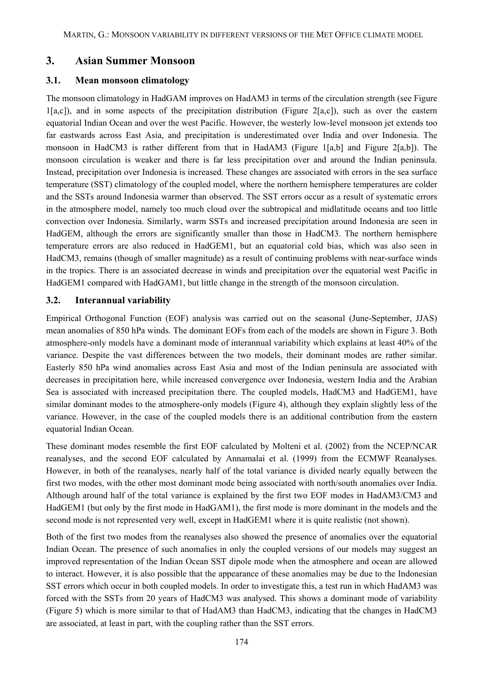### **3. Asian Summer Monsoon**

#### **3.1. Mean monsoon climatology**

The monsoon climatology in HadGAM improves on HadAM3 in terms of the circulation strength (see [Figure](#page-2-0)  [1](#page-2-0)[a,c]), and in some aspects of the precipitation distribution ([Figure 2\[](#page-3-0)a,c]), such as over the eastern equatorial Indian Ocean and over the west Pacific. However, the westerly low-level monsoon jet extends too far eastwards across East Asia, and precipitation is underestimated over India and over Indonesia. The monsoon in HadCM3 is rather different from that in HadAM3 ([Figure 1\[](#page-2-0)a,b] and [Figure 2\[](#page-3-0)a,b]). The monsoon circulation is weaker and there is far less precipitation over and around the Indian peninsula. Instead, precipitation over Indonesia is increased. These changes are associated with errors in the sea surface temperature (SST) climatology of the coupled model, where the northern hemisphere temperatures are colder and the SSTs around Indonesia warmer than observed. The SST errors occur as a result of systematic errors in the atmosphere model, namely too much cloud over the subtropical and midlatitude oceans and too little convection over Indonesia. Similarly, warm SSTs and increased precipitation around Indonesia are seen in HadGEM, although the errors are significantly smaller than those in HadCM3. The northern hemisphere temperature errors are also reduced in HadGEM1, but an equatorial cold bias, which was also seen in HadCM3, remains (though of smaller magnitude) as a result of continuing problems with near-surface winds in the tropics. There is an associated decrease in winds and precipitation over the equatorial west Pacific in HadGEM1 compared with HadGAM1, but little change in the strength of the monsoon circulation.

#### **3.2. Interannual variability**

Empirical Orthogonal Function (EOF) analysis was carried out on the seasonal (June-September, JJAS) mean anomalies of 850 hPa winds. The dominant EOFs from each of the models are shown in [Figure 3.](#page-4-0) Both atmosphere-only models have a dominant mode of interannual variability which explains at least 40% of the variance. Despite the vast differences between the two models, their dominant modes are rather similar. Easterly 850 hPa wind anomalies across East Asia and most of the Indian peninsula are associated with decreases in precipitation here, while increased convergence over Indonesia, western India and the Arabian Sea is associated with increased precipitation there. The coupled models, HadCM3 and HadGEM1, have similar dominant modes to the atmosphere-only models ([Figure 4\)](#page-4-1), although they explain slightly less of the variance. However, in the case of the coupled models there is an additional contribution from the eastern equatorial Indian Ocean.

These dominant modes resemble the first EOF calculated by Molteni et al. (2002) from the NCEP/NCAR reanalyses, and the second EOF calculated by Annamalai et al. (1999) from the ECMWF Reanalyses. However, in both of the reanalyses, nearly half of the total variance is divided nearly equally between the first two modes, with the other most dominant mode being associated with north/south anomalies over India. Although around half of the total variance is explained by the first two EOF modes in HadAM3/CM3 and HadGEM1 (but only by the first mode in HadGAM1), the first mode is more dominant in the models and the second mode is not represented very well, except in HadGEM1 where it is quite realistic (not shown).

Both of the first two modes from the reanalyses also showed the presence of anomalies over the equatorial Indian Ocean. The presence of such anomalies in only the coupled versions of our models may suggest an improved representation of the Indian Ocean SST dipole mode when the atmosphere and ocean are allowed to interact. However, it is also possible that the appearance of these anomalies may be due to the Indonesian SST errors which occur in both coupled models. In order to investigate this, a test run in which HadAM3 was forced with the SSTs from 20 years of HadCM3 was analysed. This shows a dominant mode of variability ([Figure 5\)](#page-5-0) which is more similar to that of HadAM3 than HadCM3, indicating that the changes in HadCM3 are associated, at least in part, with the coupling rather than the SST errors.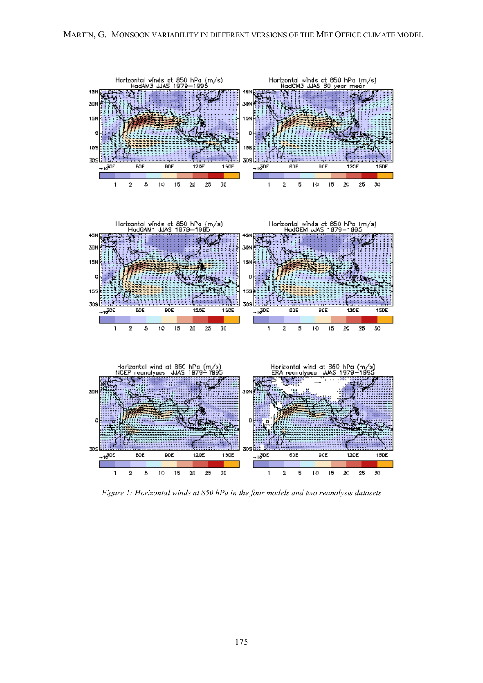<span id="page-2-0"></span>

*Figure 1: Horizontal winds at 850 hPa in the four models and two reanalysis datasets*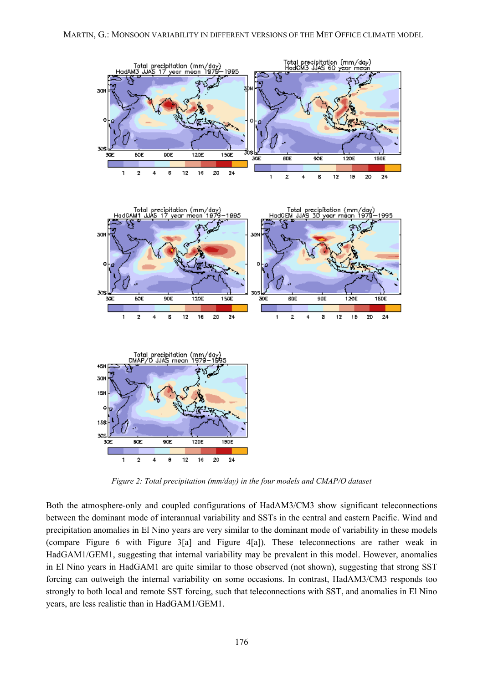<span id="page-3-0"></span>

*Figure 2: Total precipitation (mm/day) in the four models and CMAP/O dataset*

Both the atmosphere-only and coupled configurations of HadAM3/CM3 show significant teleconnections between the dominant mode of interannual variability and SSTs in the central and eastern Pacific. Wind and precipitation anomalies in El Nino years are very similar to the dominant mode of variability in these models (compare [Figure 6](#page-5-1) with [Figure 3\[](#page-4-0)a] and [Figure 4\[](#page-4-1)a]). These teleconnections are rather weak in HadGAM1/GEM1, suggesting that internal variability may be prevalent in this model. However, anomalies in El Nino years in HadGAM1 are quite similar to those observed (not shown), suggesting that strong SST forcing can outweigh the internal variability on some occasions. In contrast, HadAM3/CM3 responds too strongly to both local and remote SST forcing, such that teleconnections with SST, and anomalies in El Nino years, are less realistic than in HadGAM1/GEM1.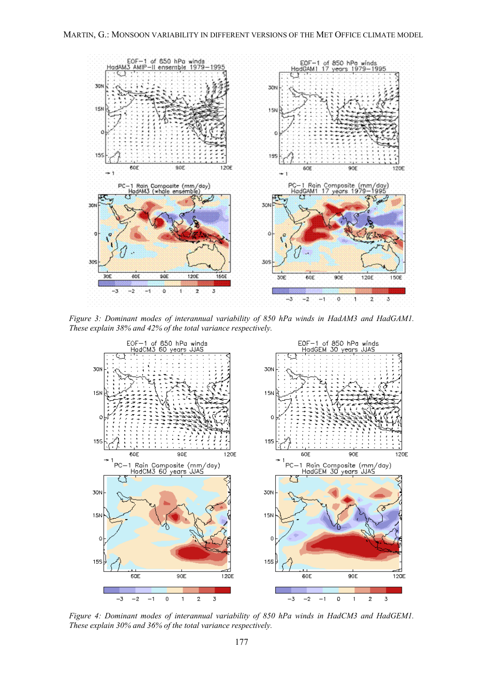<span id="page-4-0"></span>

*Figure 3: Dominant modes of interannual variability of 850 hPa winds in HadAM3 and HadGAM1. These explain 38% and 42% of the total variance respectively.*

<span id="page-4-1"></span>

*Figure 4: Dominant modes of interannual variability of 850 hPa winds in HadCM3 and HadGEM1. These explain 30% and 36% of the total variance respectively.*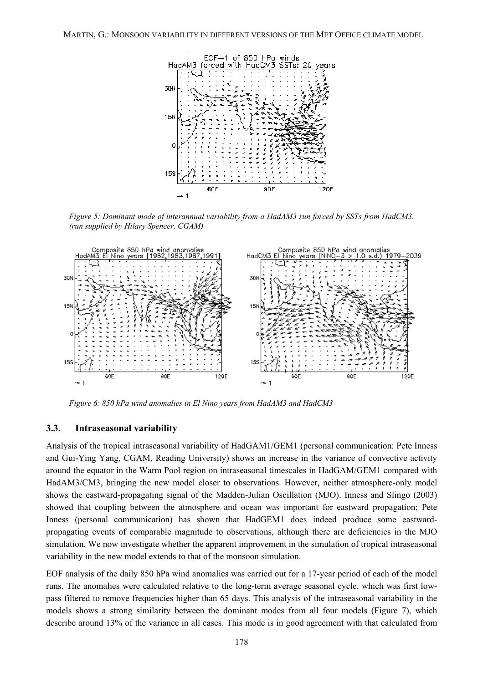<span id="page-5-0"></span>

*Figure 5: Dominant mode of interannual variability from a HadAM3 run forced by SSTs from HadCM3. (run supplied by Hilary Spencer, CGAM)*

<span id="page-5-1"></span>

*Figure 6: 850 hPa wind anomalies in El Nino years from HadAM3 and HadCM3*

#### **3.3. Intraseasonal variability**

Analysis of the tropical intraseasonal variability of HadGAM1/GEM1 (personal communication: Pete Inness and Gui-Ying Yang, CGAM, Reading University) shows an increase in the variance of convective activity around the equator in the Warm Pool region on intraseasonal timescales in HadGAM/GEM1 compared with HadAM3/CM3, bringing the new model closer to observations. However, neither atmosphere-only model shows the eastward-propagating signal of the Madden-Julian Oscillation (MJO). Inness and Slingo (2003) showed that coupling between the atmosphere and ocean was important for eastward propagation; Pete Inness (personal communication) has shown that HadGEM1 does indeed produce some eastwardpropagating events of comparable magnitude to observations, although there are deficiencies in the MJO simulation. We now investigate whether the apparent improvement in the simulation of tropical intraseasonal variability in the new model extends to that of the monsoon simulation.

EOF analysis of the daily 850 hPa wind anomalies was carried out for a 17-year period of each of the model runs. The anomalies were calculated relative to the long-term average seasonal cycle, which was first lowpass filtered to remove frequencies higher than 65 days. This analysis of the intraseasonal variability in the models shows a strong similarity between the dominant modes from all four models [\(Figure 7\)](#page-6-0), which describe around 13% of the variance in all cases. This mode is in good agreement with that calculated from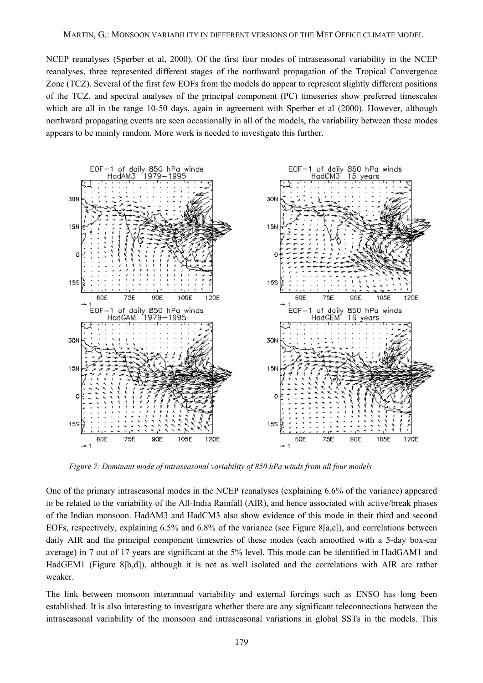NCEP reanalyses (Sperber et al, 2000). Of the first four modes of intraseasonal variability in the NCEP reanalyses, three represented different stages of the northward propagation of the Tropical Convergence Zone (TCZ). Several of the first few EOFs from the models do appear to represent slightly different positions of the TCZ, and spectral analyses of the principal component (PC) timeseries show preferred timescales which are all in the range 10-50 days, again in agreement with Sperber et al (2000). However, although northward propagating events are seen occasionally in all of the models, the variability between these modes appears to be mainly random. More work is needed to investigate this further.

<span id="page-6-0"></span>

*Figure 7: Dominant mode of intraseasonal variability of 850 hPa winds from all four models* 

One of the primary intraseasonal modes in the NCEP reanalyses (explaining 6.6% of the variance) appeared to be related to the variability of the All-India Rainfall (AIR), and hence associated with active/break phases of the Indian monsoon. HadAM3 and HadCM3 also show evidence of this mode in their third and second EOFs, respectively, explaining 6.5% and 6.8% of the variance (see [Figure 8\[](#page-7-0)a,c]), and correlations between daily AIR and the principal component timeseries of these modes (each smoothed with a 5-day box-car average) in 7 out of 17 years are significant at the 5% level. This mode can be identified in HadGAM1 and HadGEM1 ([Figure 8\[](#page-7-0)b,d]), although it is not as well isolated and the correlations with AIR are rather weaker.

The link between monsoon interannual variability and external forcings such as ENSO has long been established. It is also interesting to investigate whether there are any significant teleconnections between the intraseasonal variability of the monsoon and intraseasonal variations in global SSTs in the models. This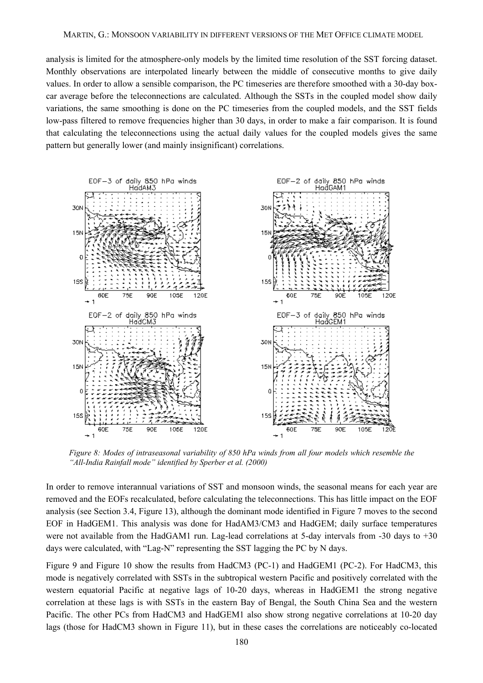analysis is limited for the atmosphere-only models by the limited time resolution of the SST forcing dataset. Monthly observations are interpolated linearly between the middle of consecutive months to give daily values. In order to allow a sensible comparison, the PC timeseries are therefore smoothed with a 30-day boxcar average before the teleconnections are calculated. Although the SSTs in the coupled model show daily variations, the same smoothing is done on the PC timeseries from the coupled models, and the SST fields low-pass filtered to remove frequencies higher than 30 days, in order to make a fair comparison. It is found that calculating the teleconnections using the actual daily values for the coupled models gives the same pattern but generally lower (and mainly insignificant) correlations.

<span id="page-7-0"></span>

*Figure 8: Modes of intraseasonal variability of 850 hPa winds from all four models which resemble the "All-India Rainfall mode" identified by Sperber et al. (2000)*

In order to remove interannual variations of SST and monsoon winds, the seasonal means for each year are removed and the EOFs recalculated, before calculating the teleconnections. This has little impact on the EOF analysis (see Section 3.4, [Figure 13\)](#page-12-0), although the dominant mode identified in [Figure 7](#page-6-0) moves to the second EOF in HadGEM1. This analysis was done for HadAM3/CM3 and HadGEM; daily surface temperatures were not available from the HadGAM1 run. Lag-lead correlations at 5-day intervals from -30 days to +30 days were calculated, with "Lag-N" representing the SST lagging the PC by N days.

[Figure 9](#page-8-0) and [Figure 10](#page-9-0) show the results from HadCM3 (PC-1) and HadGEM1 (PC-2). For HadCM3, this mode is negatively correlated with SSTs in the subtropical western Pacific and positively correlated with the western equatorial Pacific at negative lags of 10-20 days, whereas in HadGEM1 the strong negative correlation at these lags is with SSTs in the eastern Bay of Bengal, the South China Sea and the western Pacific. The other PCs from HadCM3 and HadGEM1 also show strong negative correlations at 10-20 day lags (those for HadCM3 shown in [Figure 11\)](#page-10-0), but in these cases the correlations are noticeably co-located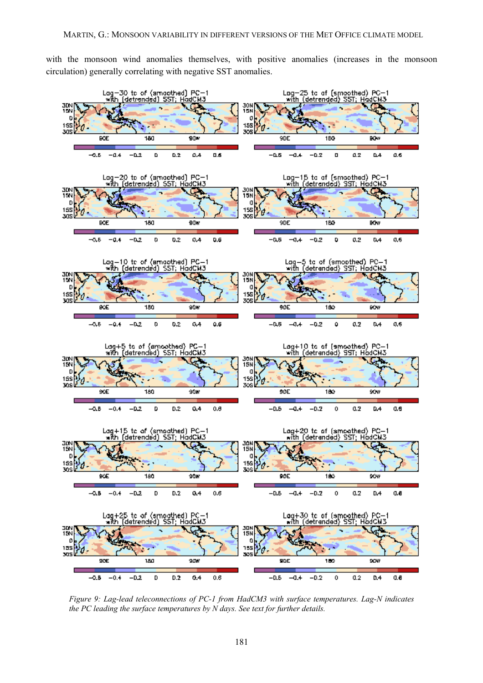with the monsoon wind anomalies themselves, with positive anomalies (increases in the monsoon circulation) generally correlating with negative SST anomalies.

<span id="page-8-0"></span>

*Figure 9: Lag-lead teleconnections of PC-1 from HadCM3 with surface temperatures. Lag-N indicates the PC leading the surface temperatures by N days. See text for further details.*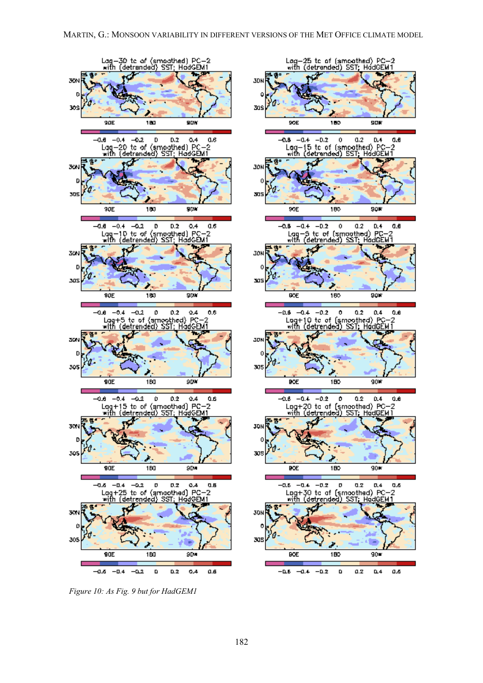<span id="page-9-0"></span>

*Figure 10: As Fig. 9 but for HadGEM1*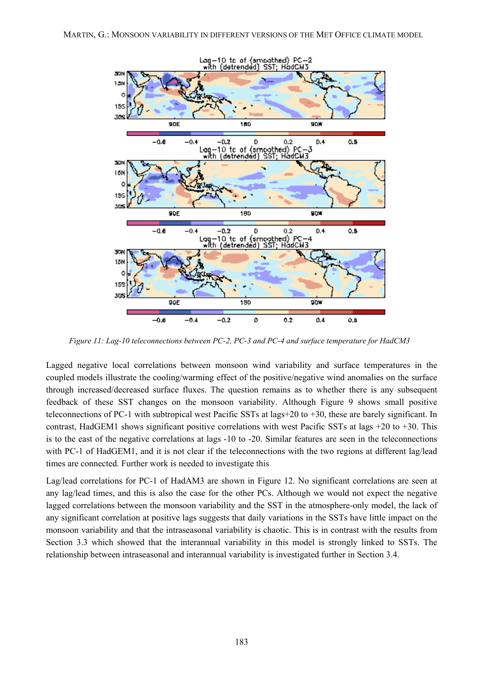<span id="page-10-0"></span>

*Figure 11: Lag-10 teleconnections between PC-2, PC-3 and PC-4 and surface temperature for HadCM3* 

Lagged negative local correlations between monsoon wind variability and surface temperatures in the coupled models illustrate the cooling/warming effect of the positive/negative wind anomalies on the surface through increased/decreased surface fluxes. The question remains as to whether there is any subsequent feedback of these SST changes on the monsoon variability. Although [Figure 9](#page-8-0) shows small positive teleconnections of PC-1 with subtropical west Pacific SSTs at lags+20 to +30, these are barely significant. In contrast, HadGEM1 shows significant positive correlations with west Pacific SSTs at lags +20 to +30. This is to the east of the negative correlations at lags -10 to -20. Similar features are seen in the teleconnections with PC-1 of HadGEM1, and it is not clear if the teleconnections with the two regions at different lag/lead times are connected. Further work is needed to investigate this

Lag/lead correlations for PC-1 of HadAM3 are shown in [Figure 12.](#page-11-0) No significant correlations are seen at any lag/lead times, and this is also the case for the other PCs. Although we would not expect the negative lagged correlations between the monsoon variability and the SST in the atmosphere-only model, the lack of any significant correlation at positive lags suggests that daily variations in the SSTs have little impact on the monsoon variability and that the intraseasonal variability is chaotic. This is in contrast with the results from Section 3.3 which showed that the interannual variability in this model is strongly linked to SSTs. The relationship between intraseasonal and interannual variability is investigated further in Section 3.4.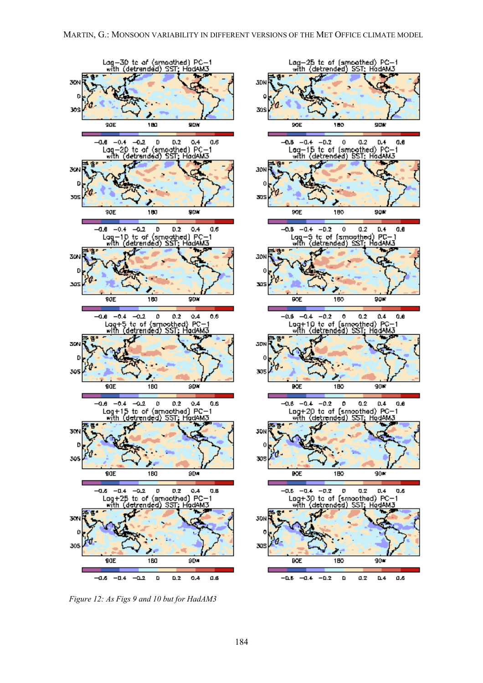<span id="page-11-0"></span>

*Figure 12: As Figs 9 and 10 but for HadAM3*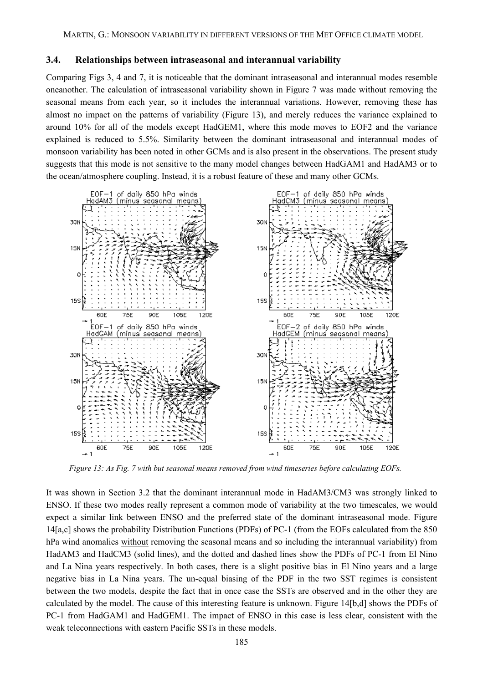#### **3.4. Relationships between intraseasonal and interannual variability**

Comparing Figs 3, 4 and 7, it is noticeable that the dominant intraseasonal and interannual modes resemble oneanother. The calculation of intraseasonal variability shown in [Figure 7](#page-6-0) was made without removing the seasonal means from each year, so it includes the interannual variations. However, removing these has almost no impact on the patterns of variability ([Figure 13\)](#page-12-0), and merely reduces the variance explained to around 10% for all of the models except HadGEM1, where this mode moves to EOF2 and the variance explained is reduced to 5.5%. Similarity between the dominant intraseasonal and interannual modes of monsoon variability has been noted in other GCMs and is also present in the observations. The present study suggests that this mode is not sensitive to the many model changes between HadGAM1 and HadAM3 or to the ocean/atmosphere coupling. Instead, it is a robust feature of these and many other GCMs.

<span id="page-12-0"></span>

*Figure 13: As Fig. 7 with but seasonal means removed from wind timeseries before calculating EOFs.*

It was shown in Section 3.2 that the dominant interannual mode in HadAM3/CM3 was strongly linked to ENSO. If these two modes really represent a common mode of variability at the two timescales, we would expect a similar link between ENSO and the preferred state of the dominant intraseasonal mode. [Figure](#page-13-0) 14[\[](#page-13-0)a,c] shows the probability Distribution Functions (PDFs) of PC-1 (from the EOFs calculated from the 850 hPa wind anomalies without removing the seasonal means and so including the interannual variability) from HadAM3 and HadCM3 (solid lines), and the dotted and dashed lines show the PDFs of PC-1 from El Nino and La Nina years respectively. In both cases, there is a slight positive bias in El Nino years and a large negative bias in La Nina years. The un-equal biasing of the PDF in the two SST regimes is consistent between the two models, despite the fact that in once case the SSTs are observed and in the other they are calculated by the model. The cause of this interesting feature is unknown. [Figure 14\[](#page-13-0)b,d] shows the PDFs of PC-1 from HadGAM1 and HadGEM1. The impact of ENSO in this case is less clear, consistent with the weak teleconnections with eastern Pacific SSTs in these models.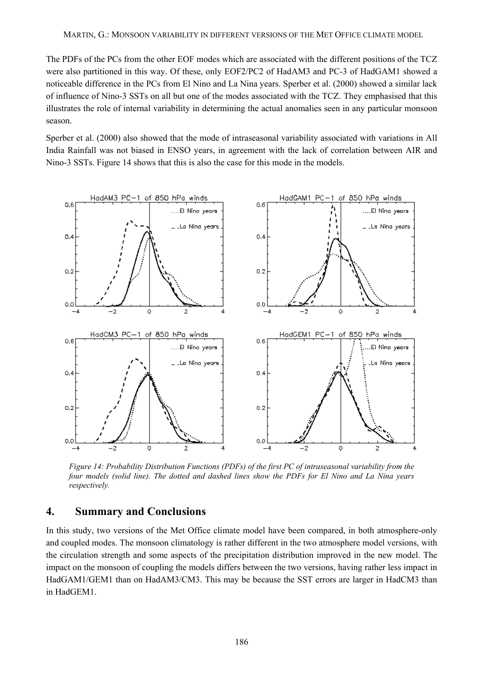The PDFs of the PCs from the other EOF modes which are associated with the different positions of the TCZ were also partitioned in this way. Of these, only EOF2/PC2 of HadAM3 and PC-3 of HadGAM1 showed a noticeable difference in the PCs from El Nino and La Nina years. Sperber et al. (2000) showed a similar lack of influence of Nino-3 SSTs on all but one of the modes associated with the TCZ. They emphasised that this illustrates the role of internal variability in determining the actual anomalies seen in any particular monsoon season.

Sperber et al. (2000) also showed that the mode of intraseasonal variability associated with variations in All India Rainfall was not biased in ENSO years, in agreement with the lack of correlation between AIR and Nino-3 SSTs. [Figure 14](#page-13-0) shows that this is also the case for this mode in the models.

<span id="page-13-0"></span>

*Figure 14: Probability Distribution Functions (PDFs) of the first PC of intraseasonal variability from the four models (solid line). The dotted and dashed lines show the PDFs for El Nino and La Nina years respectively.* 

### **4. Summary and Conclusions**

In this study, two versions of the Met Office climate model have been compared, in both atmosphere-only and coupled modes. The monsoon climatology is rather different in the two atmosphere model versions, with the circulation strength and some aspects of the precipitation distribution improved in the new model. The impact on the monsoon of coupling the models differs between the two versions, having rather less impact in HadGAM1/GEM1 than on HadAM3/CM3. This may be because the SST errors are larger in HadCM3 than in HadGEM1.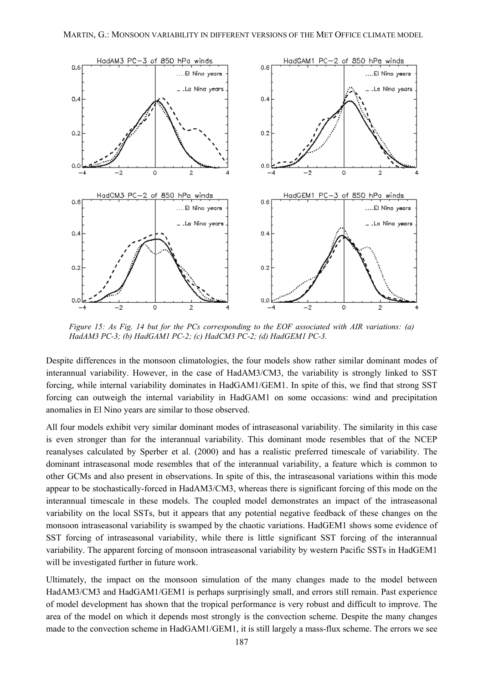

*Figure 15: As Fig. 14 but for the PCs corresponding to the EOF associated with AIR variations: (a) HadAM3 PC-3; (b) HadGAM1 PC-2; (c) HadCM3 PC-2; (d) HadGEM1 PC-3.*

Despite differences in the monsoon climatologies, the four models show rather similar dominant modes of interannual variability. However, in the case of HadAM3/CM3, the variability is strongly linked to SST forcing, while internal variability dominates in HadGAM1/GEM1. In spite of this, we find that strong SST forcing can outweigh the internal variability in HadGAM1 on some occasions: wind and precipitation anomalies in El Nino years are similar to those observed.

All four models exhibit very similar dominant modes of intraseasonal variability. The similarity in this case is even stronger than for the interannual variability. This dominant mode resembles that of the NCEP reanalyses calculated by Sperber et al. (2000) and has a realistic preferred timescale of variability. The dominant intraseasonal mode resembles that of the interannual variability, a feature which is common to other GCMs and also present in observations. In spite of this, the intraseasonal variations within this mode appear to be stochastically-forced in HadAM3/CM3, whereas there is significant forcing of this mode on the interannual timescale in these models. The coupled model demonstrates an impact of the intraseasonal variability on the local SSTs, but it appears that any potential negative feedback of these changes on the monsoon intraseasonal variability is swamped by the chaotic variations. HadGEM1 shows some evidence of SST forcing of intraseasonal variability, while there is little significant SST forcing of the interannual variability. The apparent forcing of monsoon intraseasonal variability by western Pacific SSTs in HadGEM1 will be investigated further in future work.

Ultimately, the impact on the monsoon simulation of the many changes made to the model between HadAM3/CM3 and HadGAM1/GEM1 is perhaps surprisingly small, and errors still remain. Past experience of model development has shown that the tropical performance is very robust and difficult to improve. The area of the model on which it depends most strongly is the convection scheme. Despite the many changes made to the convection scheme in HadGAM1/GEM1, it is still largely a mass-flux scheme. The errors we see